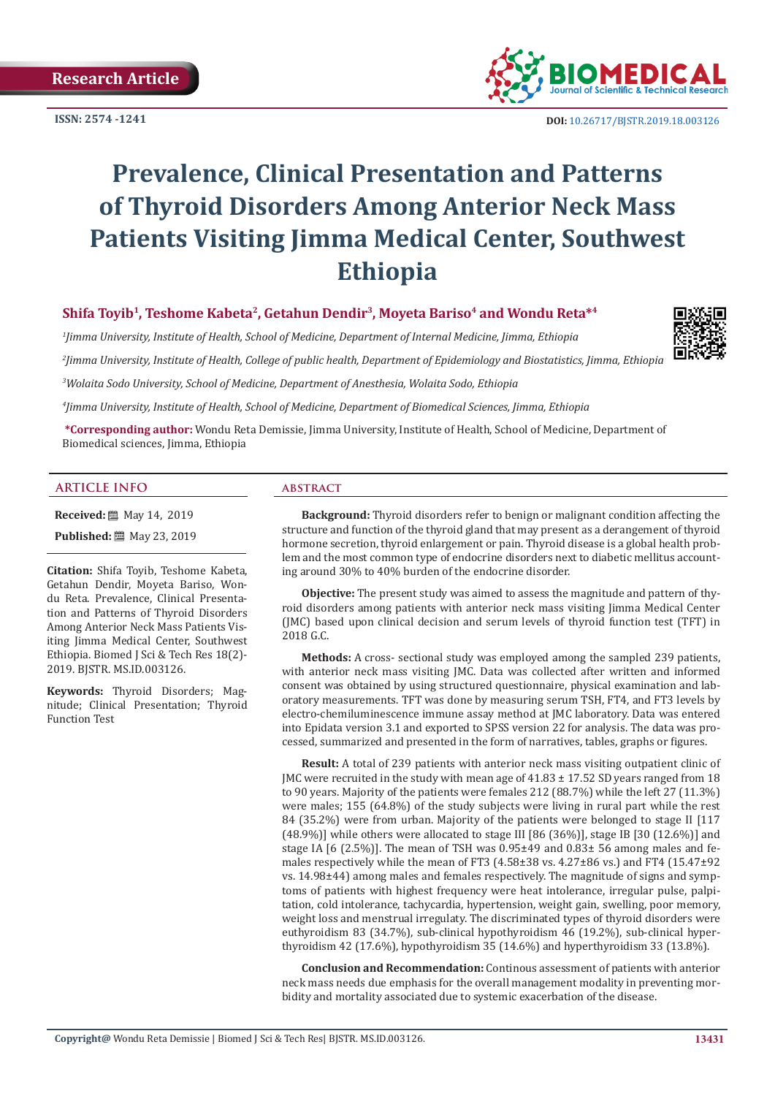**ISSN: 2574 -1241**



# **Prevalence, Clinical Presentation and Patterns of Thyroid Disorders Among Anterior Neck Mass Patients Visiting Jimma Medical Center, Southwest Ethiopia**

# **Shifa Toyib1, Teshome Kabeta2, Getahun Dendir3, Moyeta Bariso4 and Wondu Reta\*4**

*1 Jimma University, Institute of Health, School of Medicine, Department of Internal Medicine, Jimma, Ethiopia 2 Jimma University, Institute of Health, College of public health, Department of Epidemiology and Biostatistics, Jimma, Ethiopia*

*3 Wolaita Sodo University, School of Medicine, Department of Anesthesia, Wolaita Sodo, Ethiopia*

*4 Jimma University, Institute of Health, School of Medicine, Department of Biomedical Sciences, Jimma, Ethiopia*

**\*Corresponding author:** Wondu Reta Demissie, Jimma University, Institute of Health, School of Medicine, Department of Biomedical sciences, Jimma, Ethiopia

#### **ARTICLE INFO abstract**

**Received:** 圖 May 14, 2019

**Published:** ■ May 23, 2019

**Citation:** Shifa Toyib, Teshome Kabeta, Getahun Dendir, Moyeta Bariso, Wondu Reta. Prevalence, Clinical Presentation and Patterns of Thyroid Disorders Among Anterior Neck Mass Patients Visiting Jimma Medical Center, Southwest Ethiopia. Biomed J Sci & Tech Res 18(2)- 2019. BJSTR. MS.ID.003126.

**Keywords:** Thyroid Disorders; Magnitude; Clinical Presentation; Thyroid Function Test

**Background:** Thyroid disorders refer to benign or malignant condition affecting the structure and function of the thyroid gland that may present as a derangement of thyroid hormone secretion, thyroid enlargement or pain. Thyroid disease is a global health problem and the most common type of endocrine disorders next to diabetic mellitus accounting around 30% to 40% burden of the endocrine disorder.

**Objective:** The present study was aimed to assess the magnitude and pattern of thyroid disorders among patients with anterior neck mass visiting Jimma Medical Center (JMC) based upon clinical decision and serum levels of thyroid function test (TFT) in 2018 G.C.

**Methods:** A cross- sectional study was employed among the sampled 239 patients, with anterior neck mass visiting JMC. Data was collected after written and informed consent was obtained by using structured questionnaire, physical examination and laboratory measurements. TFT was done by measuring serum TSH, FT4, and FT3 levels by electro-chemiluminescence immune assay method at JMC laboratory. Data was entered into Epidata version 3.1 and exported to SPSS version 22 for analysis. The data was processed, summarized and presented in the form of narratives, tables, graphs or figures.

**Result:** A total of 239 patients with anterior neck mass visiting outpatient clinic of JMC were recruited in the study with mean age of  $41.83 \pm 17.52$  SD years ranged from 18 to 90 years. Majority of the patients were females 212 (88.7%) while the left 27 (11.3%) were males; 155 (64.8%) of the study subjects were living in rural part while the rest 84 (35.2%) were from urban. Majority of the patients were belonged to stage II [117  $(48.9\%)$ ] while others were allocated to stage III [86 (36%)], stage IB [30 (12.6%)] and stage IA  $[6 (2.5\%)]$ . The mean of TSH was  $0.95\pm49$  and  $0.83\pm56$  among males and females respectively while the mean of FT3 (4.58±38 vs. 4.27±86 vs.) and FT4 (15.47±92 vs. 14.98±44) among males and females respectively. The magnitude of signs and symptoms of patients with highest frequency were heat intolerance, irregular pulse, palpitation, cold intolerance, tachycardia, hypertension, weight gain, swelling, poor memory, weight loss and menstrual irregulaty. The discriminated types of thyroid disorders were euthyroidism 83 (34.7%), sub-clinical hypothyroidism 46 (19.2%), sub-clinical hyperthyroidism 42 (17.6%), hypothyroidism 35 (14.6%) and hyperthyroidism 33 (13.8%).

**Conclusion and Recommendation:** Continous assessment of patients with anterior neck mass needs due emphasis for the overall management modality in preventing morbidity and mortality associated due to systemic exacerbation of the disease.

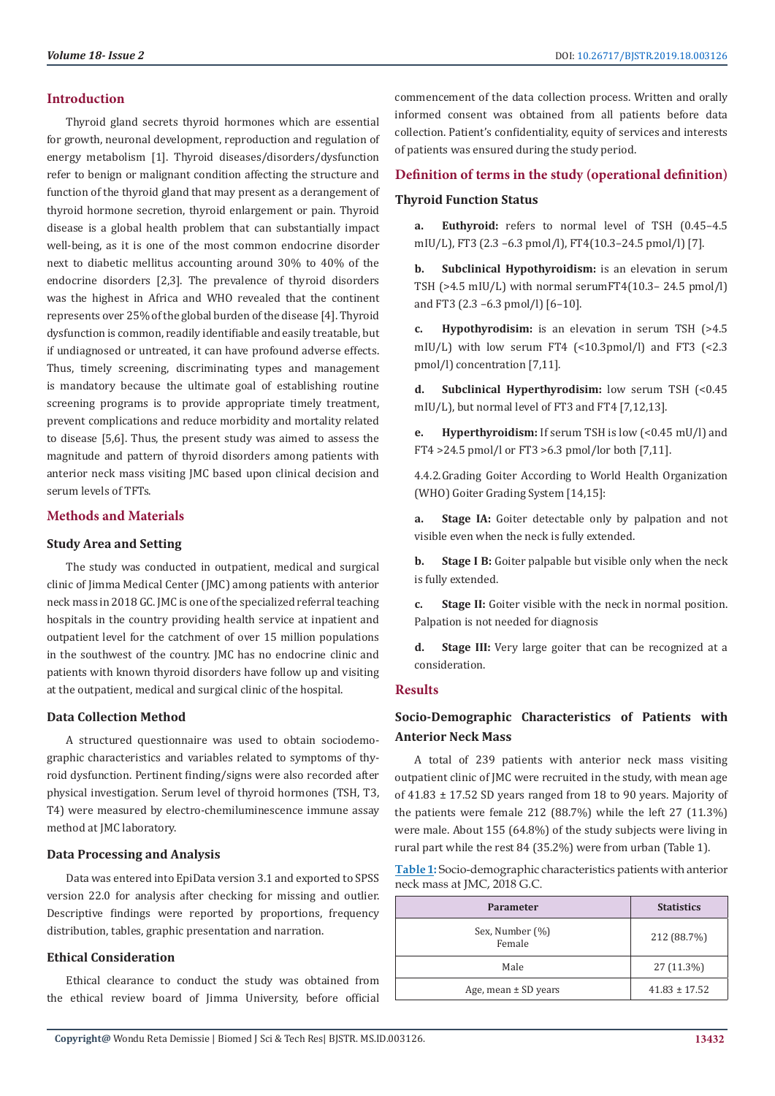# **Introduction**

Thyroid gland secrets thyroid hormones which are essential for growth, neuronal development, reproduction and regulation of energy metabolism [1]. Thyroid diseases/disorders/dysfunction refer to benign or malignant condition affecting the structure and function of the thyroid gland that may present as a derangement of thyroid hormone secretion, thyroid enlargement or pain. Thyroid disease is a global health problem that can substantially impact well-being, as it is one of the most common endocrine disorder next to diabetic mellitus accounting around 30% to 40% of the endocrine disorders [2,3]. The prevalence of thyroid disorders was the highest in Africa and WHO revealed that the continent represents over 25% of the global burden of the disease [4]. Thyroid dysfunction is common, readily identifiable and easily treatable, but if undiagnosed or untreated, it can have profound adverse effects. Thus, timely screening, discriminating types and management is mandatory because the ultimate goal of establishing routine screening programs is to provide appropriate timely treatment, prevent complications and reduce morbidity and mortality related to disease [5,6]. Thus, the present study was aimed to assess the magnitude and pattern of thyroid disorders among patients with anterior neck mass visiting JMC based upon clinical decision and serum levels of TFTs.

# **Methods and Materials**

# **Study Area and Setting**

The study was conducted in outpatient, medical and surgical clinic of Jimma Medical Center (JMC) among patients with anterior neck mass in 2018 GC. JMC is one of the specialized referral teaching hospitals in the country providing health service at inpatient and outpatient level for the catchment of over 15 million populations in the southwest of the country. JMC has no endocrine clinic and patients with known thyroid disorders have follow up and visiting at the outpatient, medical and surgical clinic of the hospital.

# **Data Collection Method**

A structured questionnaire was used to obtain sociodemographic characteristics and variables related to symptoms of thyroid dysfunction. Pertinent finding/signs were also recorded after physical investigation. Serum level of thyroid hormones (TSH, T3, T4) were measured by electro-chemiluminescence immune assay method at JMC laboratory.

# **Data Processing and Analysis**

Data was entered into EpiData version 3.1 and exported to SPSS version 22.0 for analysis after checking for missing and outlier. Descriptive findings were reported by proportions, frequency distribution, tables, graphic presentation and narration.

# **Ethical Consideration**

Ethical clearance to conduct the study was obtained from the ethical review board of Jimma University, before official commencement of the data collection process. Written and orally informed consent was obtained from all patients before data collection. Patient's confidentiality, equity of services and interests of patients was ensured during the study period.

# **Definition of terms in the study (operational definition) Thyroid Function Status**

**a. Euthyroid:** refers to normal level of TSH (0.45–4.5 mIU/L), FT3 (2.3 –6.3 pmol/l), FT4(10.3–24.5 pmol/l) [7].

**b. Subclinical Hypothyroidism:** is an elevation in serum TSH (>4.5 mIU/L) with normal serumFT4(10.3– 24.5 pmol/l) and FT3 (2.3 –6.3 pmol/l) [6–10].

**c. Hypothyrodisim:** is an elevation in serum TSH (>4.5 mIU/L) with low serum FT4 (<10.3pmol/l) and FT3 (<2.3 pmol/l) concentration [7,11].

**d. Subclinical Hyperthyrodisim:** low serum TSH (<0.45 mIU/L), but normal level of FT3 and FT4 [7,12,13].

**e. Hyperthyroidism:** If serum TSH is low (<0.45 mU/l) and FT4 >24.5 pmol/l or FT3 >6.3 pmol/lor both [7,11].

4.4.2.Grading Goiter According to World Health Organization (WHO) Goiter Grading System [14,15]:

**a. Stage IA:** Goiter detectable only by palpation and not visible even when the neck is fully extended.

**b. Stage I B:** Goiter palpable but visible only when the neck is fully extended.

**c. Stage II:** Goiter visible with the neck in normal position. Palpation is not needed for diagnosis

**d. Stage III:** Very large goiter that can be recognized at a consideration.

# **Results**

# **Socio-Demographic Characteristics of Patients with Anterior Neck Mass**

A total of 239 patients with anterior neck mass visiting outpatient clinic of JMC were recruited in the study, with mean age of  $41.83 \pm 17.52$  SD years ranged from 18 to 90 years. Majority of the patients were female 212 (88.7%) while the left 27 (11.3%) were male. About 155 (64.8%) of the study subjects were living in rural part while the rest 84 (35.2%) were from urban (Table 1).

| Table 1: Socio-demographic characteristics patients with anterior |
|-------------------------------------------------------------------|
| neck mass at JMC, 2018 G.C.                                       |

| <b>Parameter</b>          | <b>Statistics</b> |
|---------------------------|-------------------|
| Sex, Number (%)<br>Female | 212 (88.7%)       |
| Male                      | 27 (11.3%)        |
| Age, mean $\pm$ SD years  | $41.83 \pm 17.52$ |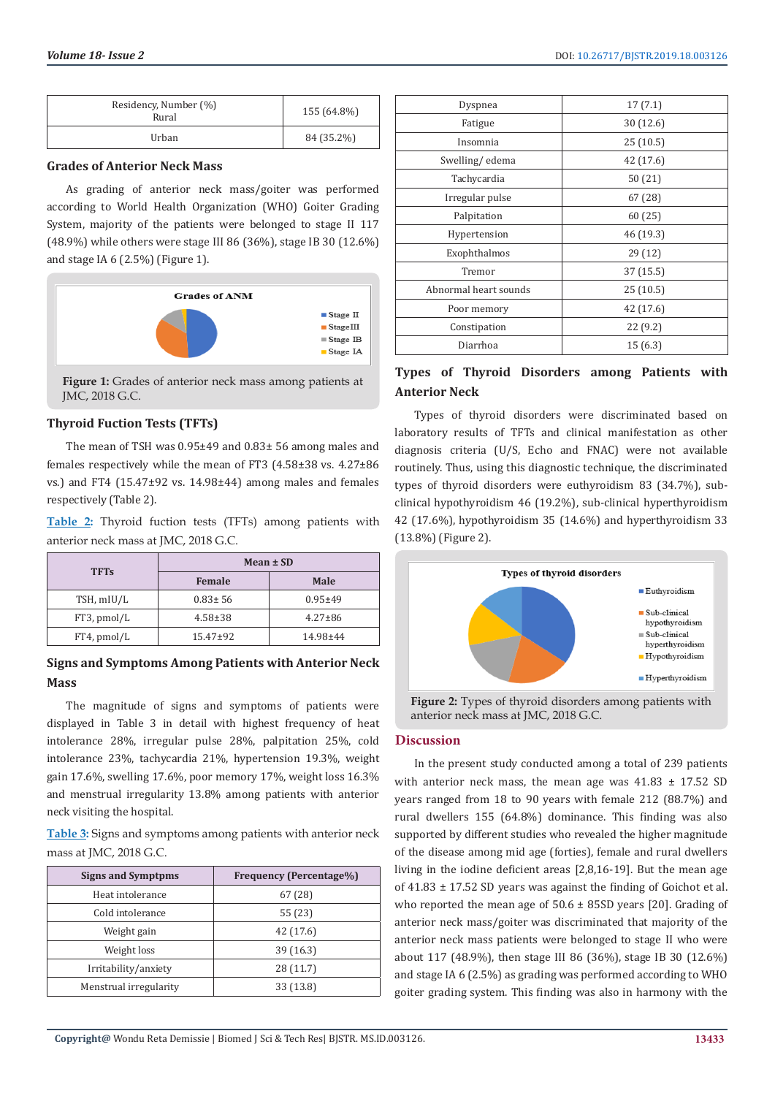| Residency, Number (%)<br>Rural | 155 (64.8%) |
|--------------------------------|-------------|
| Urban                          | 84 (35.2%)  |

# **Grades of Anterior Neck Mass**

As grading of anterior neck mass/goiter was performed according to World Health Organization (WHO) Goiter Grading System, majority of the patients were belonged to stage II 117 (48.9%) while others were stage III 86 (36%), stage IB 30 (12.6%) and stage IA 6 (2.5%) (Figure 1).



**Figure 1:** Grades of anterior neck mass among patients at JMC, 2018 G.C.

# **Thyroid Fuction Tests (TFTs)**

The mean of TSH was 0.95±49 and 0.83± 56 among males and females respectively while the mean of FT3 (4.58±38 vs. 4.27±86 vs.) and FT4 (15.47±92 vs. 14.98±44) among males and females respectively (Table 2).

**Table 2:** Thyroid fuction tests (TFTs) among patients with anterior neck mass at JMC, 2018 G.C.

|             | Mean ± SD      |               |
|-------------|----------------|---------------|
| <b>TFTs</b> | Female         | Male          |
| TSH, mIU/L  | $0.83 \pm 56$  | $0.95 + 49$   |
| FT3, pmol/L | $4.58 \pm 38$  | $4.27 \pm 86$ |
| FT4, pmol/L | $15.47 \pm 92$ | 14.98±44      |

# **Signs and Symptoms Among Patients with Anterior Neck Mass**

The magnitude of signs and symptoms of patients were displayed in Table 3 in detail with highest frequency of heat intolerance 28%, irregular pulse 28%, palpitation 25%, cold intolerance 23%, tachycardia 21%, hypertension 19.3%, weight gain 17.6%, swelling 17.6%, poor memory 17%, weight loss 16.3% and menstrual irregularity 13.8% among patients with anterior neck visiting the hospital.

**Table 3:** Signs and symptoms among patients with anterior neck mass at JMC, 2018 G.C.

| <b>Signs and Symptpms</b> | <b>Frequency (Percentage%)</b> |
|---------------------------|--------------------------------|
| Heat intolerance          | 67 (28)                        |
| Cold intolerance          | 55 (23)                        |
| Weight gain               | 42 (17.6)                      |
| Weight loss               | 39(16.3)                       |
| Irritability/anxiety      | 28 (11.7)                      |
| Menstrual irregularity    | 33 (13.8)                      |

| Dyspnea               | 17(7.1)   |
|-----------------------|-----------|
| Fatigue               | 30 (12.6) |
| Insomnia              | 25(10.5)  |
| Swelling/edema        | 42 (17.6) |
| Tachycardia           | 50(21)    |
| Irregular pulse       | 67(28)    |
| Palpitation           | 60(25)    |
| Hypertension          | 46 (19.3) |
| Exophthalmos          | 29(12)    |
| Tremor                | 37(15.5)  |
| Abnormal heart sounds | 25(10.5)  |
| Poor memory           | 42 (17.6) |
| Constipation          | 22(9.2)   |
| Diarrhoa              | 15(6.3)   |

# **Types of Thyroid Disorders among Patients with Anterior Neck**

Types of thyroid disorders were discriminated based on laboratory results of TFTs and clinical manifestation as other diagnosis criteria (U/S, Echo and FNAC) were not available routinely. Thus, using this diagnostic technique, the discriminated types of thyroid disorders were euthyroidism 83 (34.7%), subclinical hypothyroidism 46 (19.2%), sub-clinical hyperthyroidism 42 (17.6%), hypothyroidism 35 (14.6%) and hyperthyroidism 33 (13.8%) (Figure 2).



**Figure 2:** Types of thyroid disorders among patients with anterior neck mass at JMC, 2018 G.C.

# **Discussion**

In the present study conducted among a total of 239 patients with anterior neck mass, the mean age was  $41.83 \pm 17.52$  SD years ranged from 18 to 90 years with female 212 (88.7%) and rural dwellers 155 (64.8%) dominance. This finding was also supported by different studies who revealed the higher magnitude of the disease among mid age (forties), female and rural dwellers living in the iodine deficient areas [2,8,16-19]. But the mean age of  $41.83 \pm 17.52$  SD years was against the finding of Goichot et al. who reported the mean age of  $50.6 \pm 85SD$  years [20]. Grading of anterior neck mass/goiter was discriminated that majority of the anterior neck mass patients were belonged to stage II who were about 117 (48.9%), then stage III 86 (36%), stage IB 30 (12.6%) and stage IA 6 (2.5%) as grading was performed according to WHO goiter grading system. This finding was also in harmony with the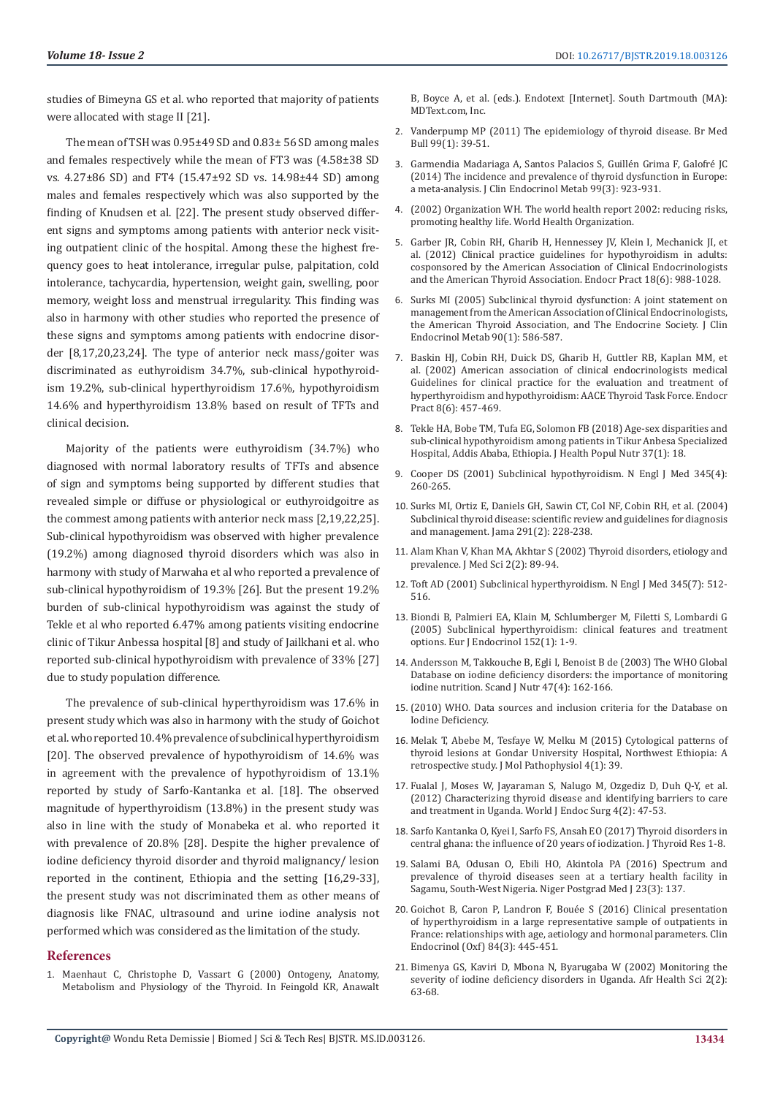studies of Bimeyna GS et al. who reported that majority of patients were allocated with stage II [21].

The mean of TSH was 0.95±49 SD and 0.83± 56 SD among males and females respectively while the mean of FT3 was (4.58±38 SD vs. 4.27±86 SD) and FT4 (15.47±92 SD vs. 14.98±44 SD) among males and females respectively which was also supported by the finding of Knudsen et al. [22]. The present study observed different signs and symptoms among patients with anterior neck visiting outpatient clinic of the hospital. Among these the highest frequency goes to heat intolerance, irregular pulse, palpitation, cold intolerance, tachycardia, hypertension, weight gain, swelling, poor memory, weight loss and menstrual irregularity. This finding was also in harmony with other studies who reported the presence of these signs and symptoms among patients with endocrine disorder [8,17,20,23,24]. The type of anterior neck mass/goiter was discriminated as euthyroidism 34.7%, sub-clinical hypothyroidism 19.2%, sub-clinical hyperthyroidism 17.6%, hypothyroidism 14.6% and hyperthyroidism 13.8% based on result of TFTs and clinical decision.

Majority of the patients were euthyroidism (34.7%) who diagnosed with normal laboratory results of TFTs and absence of sign and symptoms being supported by different studies that revealed simple or diffuse or physiological or euthyroidgoitre as the commest among patients with anterior neck mass [2,19,22,25]. Sub-clinical hypothyroidism was observed with higher prevalence (19.2%) among diagnosed thyroid disorders which was also in harmony with study of Marwaha et al who reported a prevalence of sub-clinical hypothyroidism of 19.3% [26]. But the present 19.2% burden of sub-clinical hypothyroidism was against the study of Tekle et al who reported 6.47% among patients visiting endocrine clinic of Tikur Anbessa hospital [8] and study of Jailkhani et al. who reported sub-clinical hypothyroidism with prevalence of 33% [27] due to study population difference.

The prevalence of sub-clinical hyperthyroidism was 17.6% in present study which was also in harmony with the study of Goichot et al. who reported 10.4% prevalence of subclinical hyperthyroidism [20]. The observed prevalence of hypothyroidism of 14.6% was in agreement with the prevalence of hypothyroidism of 13.1% reported by study of Sarfo-Kantanka et al. [18]. The observed magnitude of hyperthyroidism (13.8%) in the present study was also in line with the study of Monabeka et al. who reported it with prevalence of 20.8% [28]. Despite the higher prevalence of iodine deficiency thyroid disorder and thyroid malignancy/ lesion reported in the continent, Ethiopia and the setting [16,29-33], the present study was not discriminated them as other means of diagnosis like FNAC, ultrasound and urine iodine analysis not performed which was considered as the limitation of the study.

#### **References**

1. [Maenhaut C, Christophe D, Vassart G \(2000\) Ontogeny, Anatomy,](https://www.ncbi.nlm.nih.gov/books/NBK285554/)  [Metabolism and Physiology of the Thyroid. In Feingold KR, Anawalt](https://www.ncbi.nlm.nih.gov/books/NBK285554/)  [B, Boyce A, et al. \(eds.\). Endotext \[Internet\]. South Dartmouth \(MA\):](https://www.ncbi.nlm.nih.gov/books/NBK285554/) [MDText.com, Inc.](https://www.ncbi.nlm.nih.gov/books/NBK285554/)

- 2. [Vanderpump MP \(2011\) The epidemiology of thyroid disease. Br Med](https://www.ncbi.nlm.nih.gov/pubmed/21893493) [Bull 99\(1\): 39-51.](https://www.ncbi.nlm.nih.gov/pubmed/21893493)
- 3. [Garmendia Madariaga A, Santos Palacios S, Guillén Grima F, Galofré JC](https://www.ncbi.nlm.nih.gov/pubmed/24423323) [\(2014\) The incidence and prevalence of thyroid dysfunction in Europe:](https://www.ncbi.nlm.nih.gov/pubmed/24423323) [a meta-analysis. J Clin Endocrinol Metab 99\(3\): 923-931.](https://www.ncbi.nlm.nih.gov/pubmed/24423323)
- 4. [\(2002\) Organization WH. The world health report 2002: reducing risks,](https://www.who.int/whr/2002/en/) [promoting healthy life. World Health Organization.](https://www.who.int/whr/2002/en/)
- 5. [Garber JR, Cobin RH, Gharib H, Hennessey JV, Klein I, Mechanick JI, et](https://www.ncbi.nlm.nih.gov/pubmed/23246686) [al. \(2012\) Clinical practice guidelines for hypothyroidism in adults:](https://www.ncbi.nlm.nih.gov/pubmed/23246686) [cosponsored by the American Association of Clinical Endocrinologists](https://www.ncbi.nlm.nih.gov/pubmed/23246686) [and the American Thyroid Association. Endocr Pract 18\(6\): 988-1028.](https://www.ncbi.nlm.nih.gov/pubmed/23246686)
- 6. [Surks MI \(2005\) Subclinical thyroid dysfunction: A joint statement on](https://www.ncbi.nlm.nih.gov/pubmed/15643019) [management from the American Association of Clinical Endocrinologists,](https://www.ncbi.nlm.nih.gov/pubmed/15643019) [the American Thyroid Association, and The Endocrine Society. J Clin](https://www.ncbi.nlm.nih.gov/pubmed/15643019) [Endocrinol Metab 90\(1\): 586-587.](https://www.ncbi.nlm.nih.gov/pubmed/15643019)
- 7. [Baskin HJ, Cobin RH, Duick DS, Gharib H, Guttler RB, Kaplan MM, et](http://mythyroid.com/documents/AACE%20Thyroid%20Guideslines-%202002.pdf) [al. \(2002\) American association of clinical endocrinologists medical](http://mythyroid.com/documents/AACE%20Thyroid%20Guideslines-%202002.pdf) [Guidelines for clinical practice for the evaluation and treatment of](http://mythyroid.com/documents/AACE%20Thyroid%20Guideslines-%202002.pdf) [hyperthyroidism and hypothyroidism: AACE Thyroid Task Force. Endocr](http://mythyroid.com/documents/AACE%20Thyroid%20Guideslines-%202002.pdf) [Pract 8\(6\): 457-469.](http://mythyroid.com/documents/AACE%20Thyroid%20Guideslines-%202002.pdf)
- 8. [Tekle HA, Bobe TM, Tufa EG, Solomon FB \(2018\) Age-sex disparities and](https://www.ncbi.nlm.nih.gov/pubmed/30029689/) [sub-clinical hypothyroidism among patients in Tikur Anbesa Specialized](https://www.ncbi.nlm.nih.gov/pubmed/30029689/) [Hospital, Addis Ababa, Ethiopia. J Health Popul Nutr 37\(1\): 18.](https://www.ncbi.nlm.nih.gov/pubmed/30029689/)
- 9. [Cooper DS \(2001\) Subclinical hypothyroidism. N Engl J Med 345\(4\):](https://www.nejm.org/doi/full/10.1056/NEJM200107263450406) [260-265.](https://www.nejm.org/doi/full/10.1056/NEJM200107263450406)
- 10. [Surks MI, Ortiz E, Daniels GH, Sawin CT, Col NF, Cobin RH, et al. \(2004\)](https://www.ncbi.nlm.nih.gov/pubmed/14722150) [Subclinical thyroid disease: scientific review and guidelines for diagnosis](https://www.ncbi.nlm.nih.gov/pubmed/14722150) [and management. Jama 291\(2\): 228-238.](https://www.ncbi.nlm.nih.gov/pubmed/14722150)
- 11. [Alam Khan V, Khan MA, Akhtar S \(2002\) Thyroid disorders, etiology and](https://scialert.net/fulltextmobile/?doi=jms.2002.89.94) [prevalence. J Med Sci 2\(2\): 89-94.](https://scialert.net/fulltextmobile/?doi=jms.2002.89.94)
- 12. [Toft AD \(2001\) Subclinical hyperthyroidism. N Engl J Med 345\(7\): 512-](https://www.nejm.org/doi/full/10.1056/NEJMcp010145) [516.](https://www.nejm.org/doi/full/10.1056/NEJMcp010145)
- 13. [Biondi B, Palmieri EA, Klain M, Schlumberger M, Filetti S, Lombardi G](https://www.ncbi.nlm.nih.gov/pubmed/15762182) [\(2005\) Subclinical hyperthyroidism: clinical features and treatment](https://www.ncbi.nlm.nih.gov/pubmed/15762182) [options. Eur J Endocrinol 152\(1\): 1-9.](https://www.ncbi.nlm.nih.gov/pubmed/15762182)
- 14. [Andersson M, Takkouche B, Egli I, Benoist B de \(2003\) The WHO Global](http://ign.org/cm_data/1488-1695-1-PB.pdf) [Database on iodine deficiency disorders: the importance of monitoring](http://ign.org/cm_data/1488-1695-1-PB.pdf) [iodine nutrition. Scand J Nutr 47\(4\): 162-166.](http://ign.org/cm_data/1488-1695-1-PB.pdf)
- 15. [\(2010\) WHO. Data sources and inclusion criteria for the Database on](https://www.who.int/vmnis/database/iodine/iodine_data_sources/en/) [Iodine Deficiency.](https://www.who.int/vmnis/database/iodine/iodine_data_sources/en/)
- 16. [Melak T, Abebe M, Tesfaye W, Melku M \(2015\) Cytological patterns of](https://www.scopemed.org/?mno=179818) [thyroid lesions at Gondar University Hospital, Northwest Ethiopia: A](https://www.scopemed.org/?mno=179818) [retrospective study. J Mol Pathophysiol 4\(1\): 39.](https://www.scopemed.org/?mno=179818)
- 17. [Fualal J, Moses W, Jayaraman S, Nalugo M, Ozgediz D, Duh Q-Y, et al.](https://escholarship.org/uc/item/8nw3m4b7) [\(2012\) Characterizing thyroid disease and identifying barriers to care](https://escholarship.org/uc/item/8nw3m4b7) [and treatment in Uganda. World J Endoc Surg 4\(2\): 47-53.](https://escholarship.org/uc/item/8nw3m4b7)
- 18. [Sarfo Kantanka O, Kyei I, Sarfo FS, Ansah EO \(2017\) Thyroid disorders in](https://www.hindawi.com/journals/jtr/2017/7843972/) [central ghana: the influence of 20 years of iodization. J Thyroid Res 1-8.](https://www.hindawi.com/journals/jtr/2017/7843972/)
- 19. [Salami BA, Odusan O, Ebili HO, Akintola PA \(2016\) Spectrum and](https://www.ncbi.nlm.nih.gov/pubmed/27623725) [prevalence of thyroid diseases seen at a tertiary health facility in](https://www.ncbi.nlm.nih.gov/pubmed/27623725) [Sagamu, South-West Nigeria. Niger Postgrad Med J 23\(3\): 137.](https://www.ncbi.nlm.nih.gov/pubmed/27623725)
- 20. [Goichot B, Caron P, Landron F, Bouée S \(2016\) Clinical presentation](https://www.ncbi.nlm.nih.gov/pubmed/25959282) [of hyperthyroidism in a large representative sample of outpatients in](https://www.ncbi.nlm.nih.gov/pubmed/25959282) [France: relationships with age, aetiology and hormonal parameters. Clin](https://www.ncbi.nlm.nih.gov/pubmed/25959282) [Endocrinol \(Oxf\) 84\(3\): 445-451.](https://www.ncbi.nlm.nih.gov/pubmed/25959282)
- 21. [Bimenya GS, Kaviri D, Mbona N, Byarugaba W \(2002\) Monitoring the](https://www.ncbi.nlm.nih.gov/pubmed/12789104/) [severity of iodine deficiency disorders in Uganda. Afr Health Sci 2\(2\):](https://www.ncbi.nlm.nih.gov/pubmed/12789104/) [63-68.](https://www.ncbi.nlm.nih.gov/pubmed/12789104/)